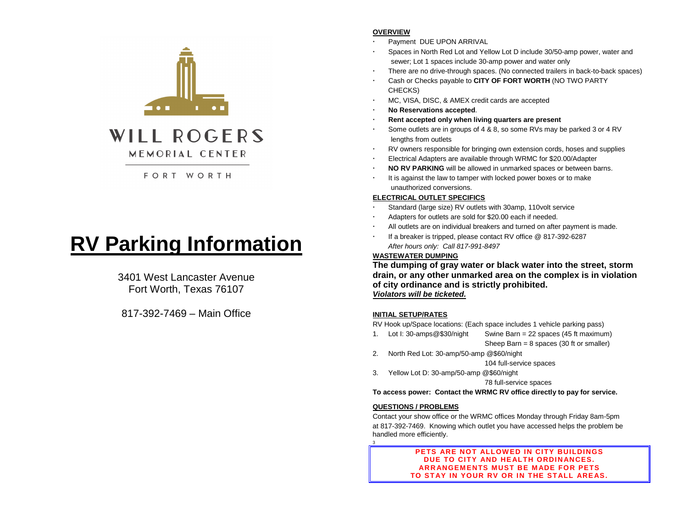

# FORT WORTH

# **RV Parking Information**

3401 West Lancaster Avenue Fort Worth, Texas 76107

817-392-7469 – Main Office

# **OVERVIEW**

- Payment DUE UPON ARRIVAL
- Spaces in North Red Lot and Yellow Lot D include 30/50-amp power, water and sewer; Lot 1 spaces include 30-amp power and water only
- There are no drive-through spaces. (No connected trailers in back-to-back spaces)
- Cash or Checks payable to **CITY OF FORT WORTH** (NO TWO PARTY CHECKS)
- MC, VISA, DISC, & AMEX credit cards are accepted
- **No Reservations accepted**.
- **Rent accepted only when living quarters are present**
- Some outlets are in groups of 4 & 8, so some RVs may be parked 3 or 4 RV lengths from outlets
- RV owners responsible for bringing own extension cords, hoses and supplies
- Electrical Adapters are available through WRMC for \$20.00/Adapter
- **NO RV PARKING** will be allowed in unmarked spaces or between barns.
- It is against the law to tamper with locked power boxes or to make unauthorized conversions.

## **ELECTRICAL OUTLET SPECIFICS**

- Standard (large size) RV outlets with 30amp, 110volt service
- Adapters for outlets are sold for \$20.00 each if needed.
- All outlets are on individual breakers and turned on after payment is made.
- If a breaker is tripped, please contact RV office @ 817-392-6287 *After hours only: Call 817-991-8497*

# **WASTEWATER DUMPING**

**The dumping of gray water or black water into the street, storm drain, or any other unmarked area on the complex is in violation of city ordinance and is strictly prohibited.** *Violators will be ticketed.*

## **INITIAL SETUP/RATES**

RV Hook up/Space locations: (Each space includes 1 vehicle parking pass)

- 1. Lot I: 30-amps@\$30/night Swine Barn = 22 spaces (45 ft maximum) Sheep Barn = 8 spaces (30 ft or smaller)
- 2. North Red Lot: 30-amp/50-amp @\$60/night
	- 104 full-service spaces
- 3. Yellow Lot D: 30-amp/50-amp @\$60/night

78 full-service spaces

**To access power: Contact the WRMC RV office directly to pay for service.**

#### **QUESTIONS / PROBLEMS**

3

Contact your show office or the WRMC offices Monday through Friday 8am-5pm at 817-392-7469. Knowing which outlet you have accessed helps the problem be handled more efficiently.

> **PETS ARE NOT ALLOWED IN CITY BUILDINGS DUE TO CITY AND HEALTH ORDINANCES. ARRANGEMENTS MUST BE MADE FOR PETS TO STAY IN YOUR RV OR IN THE STALL AREAS.**